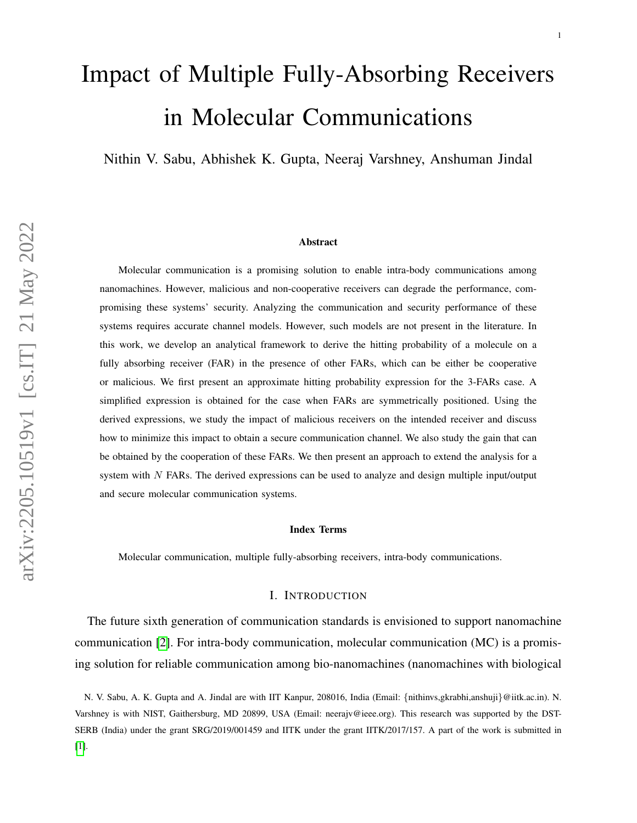# Impact of Multiple Fully-Absorbing Receivers in Molecular Communications

Nithin V. Sabu, Abhishek K. Gupta, Neeraj Varshney, Anshuman Jindal

#### Abstract

Molecular communication is a promising solution to enable intra-body communications among nanomachines. However, malicious and non-cooperative receivers can degrade the performance, compromising these systems' security. Analyzing the communication and security performance of these systems requires accurate channel models. However, such models are not present in the literature. In this work, we develop an analytical framework to derive the hitting probability of a molecule on a fully absorbing receiver (FAR) in the presence of other FARs, which can be either be cooperative or malicious. We first present an approximate hitting probability expression for the 3-FARs case. A simplified expression is obtained for the case when FARs are symmetrically positioned. Using the derived expressions, we study the impact of malicious receivers on the intended receiver and discuss how to minimize this impact to obtain a secure communication channel. We also study the gain that can be obtained by the cooperation of these FARs. We then present an approach to extend the analysis for a system with  $N$  FARs. The derived expressions can be used to analyze and design multiple input/output and secure molecular communication systems.

#### Index Terms

Molecular communication, multiple fully-absorbing receivers, intra-body communications.

#### I. INTRODUCTION

The future sixth generation of communication standards is envisioned to support nanomachine communication [\[2\]](#page-13-0). For intra-body communication, molecular communication (MC) is a promising solution for reliable communication among bio-nanomachines (nanomachines with biological

N. V. Sabu, A. K. Gupta and A. Jindal are with IIT Kanpur, 208016, India (Email: {nithinvs,gkrabhi,anshuji}@iitk.ac.in). N. Varshney is with NIST, Gaithersburg, MD 20899, USA (Email: neerajv@ieee.org). This research was supported by the DST-SERB (India) under the grant SRG/2019/001459 and IITK under the grant IITK/2017/157. A part of the work is submitted in [\[1\]](#page-13-1).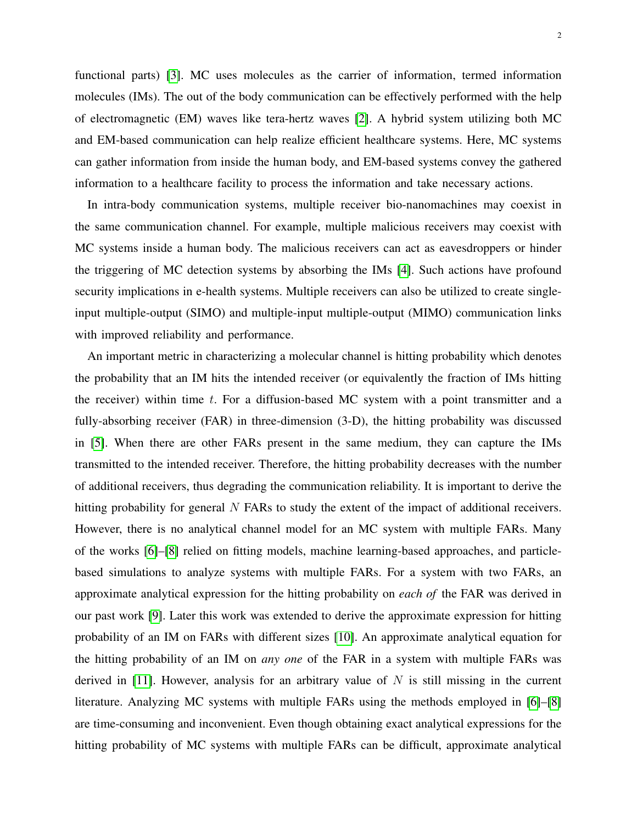functional parts) [\[3\]](#page-13-2). MC uses molecules as the carrier of information, termed information molecules (IMs). The out of the body communication can be effectively performed with the help of electromagnetic (EM) waves like tera-hertz waves [\[2\]](#page-13-0). A hybrid system utilizing both MC and EM-based communication can help realize efficient healthcare systems. Here, MC systems can gather information from inside the human body, and EM-based systems convey the gathered information to a healthcare facility to process the information and take necessary actions.

In intra-body communication systems, multiple receiver bio-nanomachines may coexist in the same communication channel. For example, multiple malicious receivers may coexist with MC systems inside a human body. The malicious receivers can act as eavesdroppers or hinder the triggering of MC detection systems by absorbing the IMs [\[4\]](#page-13-3). Such actions have profound security implications in e-health systems. Multiple receivers can also be utilized to create singleinput multiple-output (SIMO) and multiple-input multiple-output (MIMO) communication links with improved reliability and performance.

An important metric in characterizing a molecular channel is hitting probability which denotes the probability that an IM hits the intended receiver (or equivalently the fraction of IMs hitting the receiver) within time  $t$ . For a diffusion-based MC system with a point transmitter and a fully-absorbing receiver (FAR) in three-dimension (3-D), the hitting probability was discussed in [\[5\]](#page-13-4). When there are other FARs present in the same medium, they can capture the IMs transmitted to the intended receiver. Therefore, the hitting probability decreases with the number of additional receivers, thus degrading the communication reliability. It is important to derive the hitting probability for general  $N$  FARs to study the extent of the impact of additional receivers. However, there is no analytical channel model for an MC system with multiple FARs. Many of the works [\[6\]](#page-13-5)–[\[8\]](#page-14-0) relied on fitting models, machine learning-based approaches, and particlebased simulations to analyze systems with multiple FARs. For a system with two FARs, an approximate analytical expression for the hitting probability on *each of* the FAR was derived in our past work [\[9\]](#page-14-1). Later this work was extended to derive the approximate expression for hitting probability of an IM on FARs with different sizes [\[10\]](#page-14-2). An approximate analytical equation for the hitting probability of an IM on *any one* of the FAR in a system with multiple FARs was derived in [\[11\]](#page-14-3). However, analysis for an arbitrary value of  $N$  is still missing in the current literature. Analyzing MC systems with multiple FARs using the methods employed in [\[6\]](#page-13-5)–[\[8\]](#page-14-0) are time-consuming and inconvenient. Even though obtaining exact analytical expressions for the hitting probability of MC systems with multiple FARs can be difficult, approximate analytical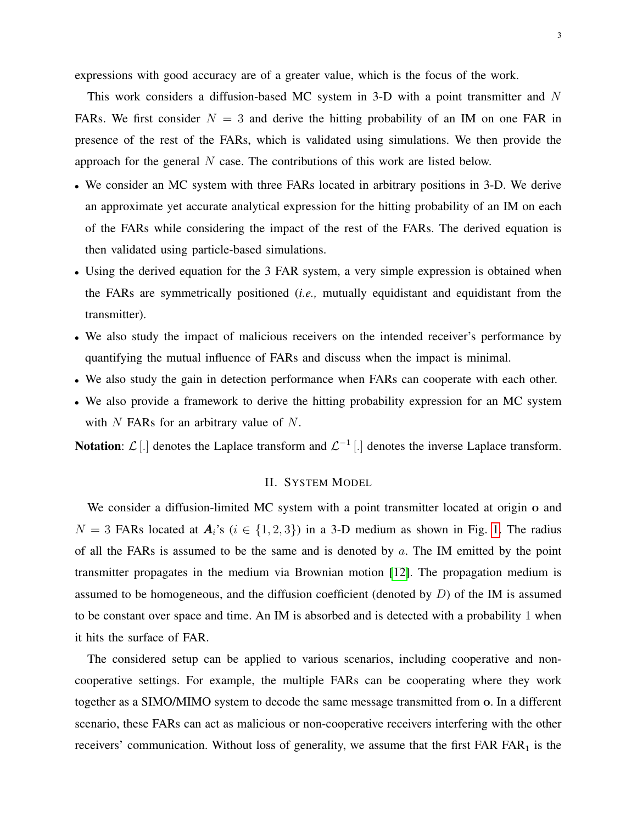expressions with good accuracy are of a greater value, which is the focus of the work.

This work considers a diffusion-based MC system in 3-D with a point transmitter and N FARs. We first consider  $N = 3$  and derive the hitting probability of an IM on one FAR in presence of the rest of the FARs, which is validated using simulations. We then provide the approach for the general  $N$  case. The contributions of this work are listed below.

- We consider an MC system with three FARs located in arbitrary positions in 3-D. We derive an approximate yet accurate analytical expression for the hitting probability of an IM on each of the FARs while considering the impact of the rest of the FARs. The derived equation is then validated using particle-based simulations.
- Using the derived equation for the 3 FAR system, a very simple expression is obtained when the FARs are symmetrically positioned (*i.e.,* mutually equidistant and equidistant from the transmitter).
- We also study the impact of malicious receivers on the intended receiver's performance by quantifying the mutual influence of FARs and discuss when the impact is minimal.
- We also study the gain in detection performance when FARs can cooperate with each other.
- We also provide a framework to derive the hitting probability expression for an MC system with  $N$  FARs for an arbitrary value of  $N$ .

**Notation:**  $\mathcal{L}[\cdot]$  denotes the Laplace transform and  $\mathcal{L}^{-1}[\cdot]$  denotes the inverse Laplace transform.

# II. SYSTEM MODEL

We consider a diffusion-limited MC system with a point transmitter located at origin o and  $N = 3$  FARs located at  $A_i$ 's ( $i \in \{1, 2, 3\}$ ) in a 3-D medium as shown in Fig. [1.](#page-3-0) The radius of all the FARs is assumed to be the same and is denoted by  $a$ . The IM emitted by the point transmitter propagates in the medium via Brownian motion [\[12\]](#page-14-4). The propagation medium is assumed to be homogeneous, and the diffusion coefficient (denoted by  $D$ ) of the IM is assumed to be constant over space and time. An IM is absorbed and is detected with a probability 1 when it hits the surface of FAR.

The considered setup can be applied to various scenarios, including cooperative and noncooperative settings. For example, the multiple FARs can be cooperating where they work together as a SIMO/MIMO system to decode the same message transmitted from o. In a different scenario, these FARs can act as malicious or non-cooperative receivers interfering with the other receivers' communication. Without loss of generality, we assume that the first  $FAR FAR<sub>1</sub>$  is the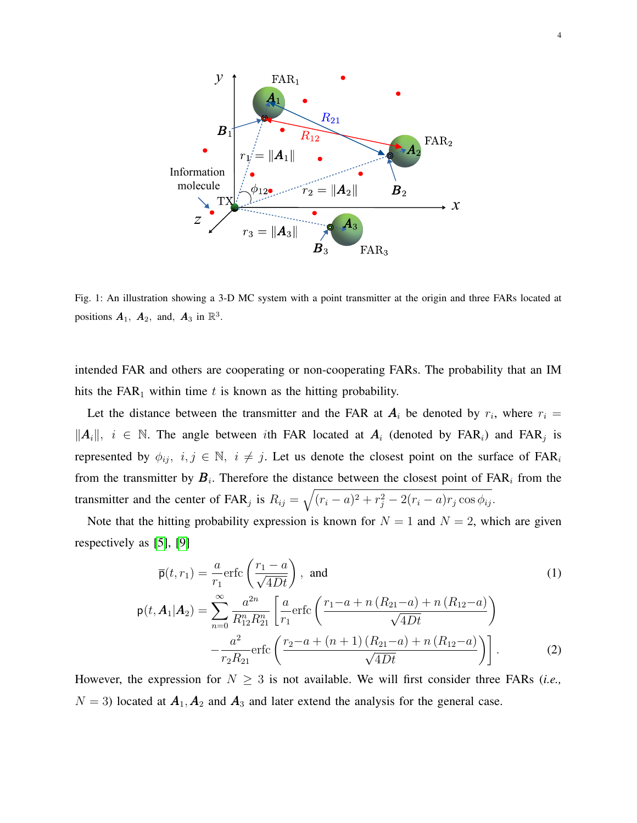<span id="page-3-0"></span>

Fig. 1: An illustration showing a 3-D MC system with a point transmitter at the origin and three FARs located at positions  $\mathbf{A}_1$ ,  $\mathbf{A}_2$ , and,  $\mathbf{A}_3$  in  $\mathbb{R}^3$ .

intended FAR and others are cooperating or non-cooperating FARs. The probability that an IM hits the  $FAR_1$  within time t is known as the hitting probability.

Let the distance between the transmitter and the FAR at  $A_i$  be denoted by  $r_i$ , where  $r_i =$  $||A_i||$ ,  $i \in \mathbb{N}$ . The angle between *i*th FAR located at  $A_i$  (denoted by FAR<sub>i</sub>) and FAR<sub>j</sub> is represented by  $\phi_{ij}$ ,  $i, j \in \mathbb{N}$ ,  $i \neq j$ . Let us denote the closest point on the surface of FAR<sub>i</sub> from the transmitter by  $B_i$ . Therefore the distance between the closest point of  $FAR_i$  from the transmitter and the center of FAR<sub>j</sub> is  $R_{ij} = \sqrt{(r_i - a)^2 + r_j^2 - 2(r_i - a)r_j \cos \phi_{ij}}$ .

Note that the hitting probability expression is known for  $N = 1$  and  $N = 2$ , which are given respectively as [\[5\]](#page-13-4), [\[9\]](#page-14-1)

<span id="page-3-1"></span>
$$
\overline{\mathsf{p}}(t, r_1) = \frac{a}{r_1} \text{erfc}\left(\frac{r_1 - a}{\sqrt{4Dt}}\right), \text{ and}
$$
\n
$$
\mathsf{p}(t, A_1 | A_2) = \sum_{n=0}^{\infty} \frac{a^{2n}}{R_{12}^n R_{21}^n} \left[ \frac{a}{r_1} \text{erfc}\left(\frac{r_1 - a + n\left(R_{21} - a\right) + n\left(R_{12} - a\right)}{\sqrt{4Dt}}\right) - \frac{a^2}{r_2 R_{21}} \text{erfc}\left(\frac{r_2 - a + (n+1)\left(R_{21} - a\right) + n\left(R_{12} - a\right)}{\sqrt{4Dt}}\right) \right].
$$
\n(2)

However, the expression for  $N \geq 3$  is not available. We will first consider three FARs (*i.e.*,  $N = 3$ ) located at  $A_1, A_2$  and  $A_3$  and later extend the analysis for the general case.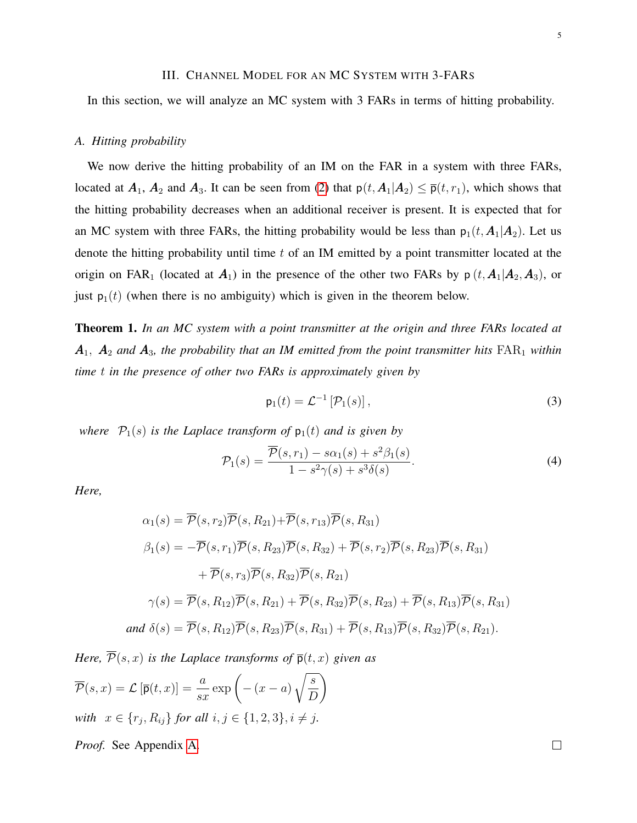## III. CHANNEL MODEL FOR AN MC SYSTEM WITH 3-FARS

In this section, we will analyze an MC system with 3 FARs in terms of hitting probability.

#### *A. Hitting probability*

We now derive the hitting probability of an IM on the FAR in a system with three FARs, located at  $A_1$ ,  $A_2$  and  $A_3$ . It can be seen from [\(2\)](#page-3-1) that  $p(t, A_1|A_2) \leq \overline{p}(t, r_1)$ , which shows that the hitting probability decreases when an additional receiver is present. It is expected that for an MC system with three FARs, the hitting probability would be less than  $p_1(t, A_1|A_2)$ . Let us denote the hitting probability until time  $t$  of an IM emitted by a point transmitter located at the origin on FAR<sub>1</sub> (located at  $A_1$ ) in the presence of the other two FARs by  $p(t, A_1|A_2, A_3)$ , or just  $p_1(t)$  (when there is no ambiguity) which is given in the theorem below.

<span id="page-4-0"></span>Theorem 1. *In an MC system with a point transmitter at the origin and three FARs located at* A1, A<sup>2</sup> *and* A3*, the probability that an IM emitted from the point transmitter hits* FAR<sup>1</sup> *within time* t *in the presence of other two FARs is approximately given by*

<span id="page-4-2"></span><span id="page-4-1"></span>
$$
\mathsf{p}_1(t) = \mathcal{L}^{-1} \left[ \mathcal{P}_1(s) \right],\tag{3}
$$

*where*  $\mathcal{P}_1(s)$  *is the Laplace transform of*  $p_1(t)$  *and is given by* 

$$
\mathcal{P}_1(s) = \frac{\overline{\mathcal{P}}(s, r_1) - s\alpha_1(s) + s^2\beta_1(s)}{1 - s^2\gamma(s) + s^3\delta(s)}.
$$
\n(4)

*Here,*

$$
\alpha_1(s) = \overline{\mathcal{P}}(s, r_2) \overline{\mathcal{P}}(s, R_{21}) + \overline{\mathcal{P}}(s, r_{13}) \overline{\mathcal{P}}(s, R_{31})
$$
  
\n
$$
\beta_1(s) = -\overline{\mathcal{P}}(s, r_1) \overline{\mathcal{P}}(s, R_{23}) \overline{\mathcal{P}}(s, R_{32}) + \overline{\mathcal{P}}(s, r_2) \overline{\mathcal{P}}(s, R_{23}) \overline{\mathcal{P}}(s, R_{31})
$$
  
\n
$$
+ \overline{\mathcal{P}}(s, r_3) \overline{\mathcal{P}}(s, R_{32}) \overline{\mathcal{P}}(s, R_{21})
$$
  
\n
$$
\gamma(s) = \overline{\mathcal{P}}(s, R_{12}) \overline{\mathcal{P}}(s, R_{21}) + \overline{\mathcal{P}}(s, R_{32}) \overline{\mathcal{P}}(s, R_{23}) + \overline{\mathcal{P}}(s, R_{13}) \overline{\mathcal{P}}(s, R_{31})
$$
  
\nand  $\delta(s) = \overline{\mathcal{P}}(s, R_{12}) \overline{\mathcal{P}}(s, R_{23}) \overline{\mathcal{P}}(s, R_{31}) + \overline{\mathcal{P}}(s, R_{13}) \overline{\mathcal{P}}(s, R_{32}) \overline{\mathcal{P}}(s, R_{21}).$ 

*Here,*  $\overline{\mathcal{P}}(s, x)$  *is the Laplace transforms of*  $\overline{\mathbf{p}}(t, x)$  *given as* 

$$
\overline{\mathcal{P}}(s,x) = \mathcal{L} \left[ \overline{\mathsf{p}}(t,x) \right] = \frac{a}{sx} \exp\left( -(x-a) \sqrt{\frac{s}{D}} \right)
$$
  
with  $x \in \{r_j, R_{ij}\}$  for all  $i, j \in \{1, 2, 3\}, i \neq j$ .

*Proof.* See Appendix [A.](#page-12-0)

 $\Box$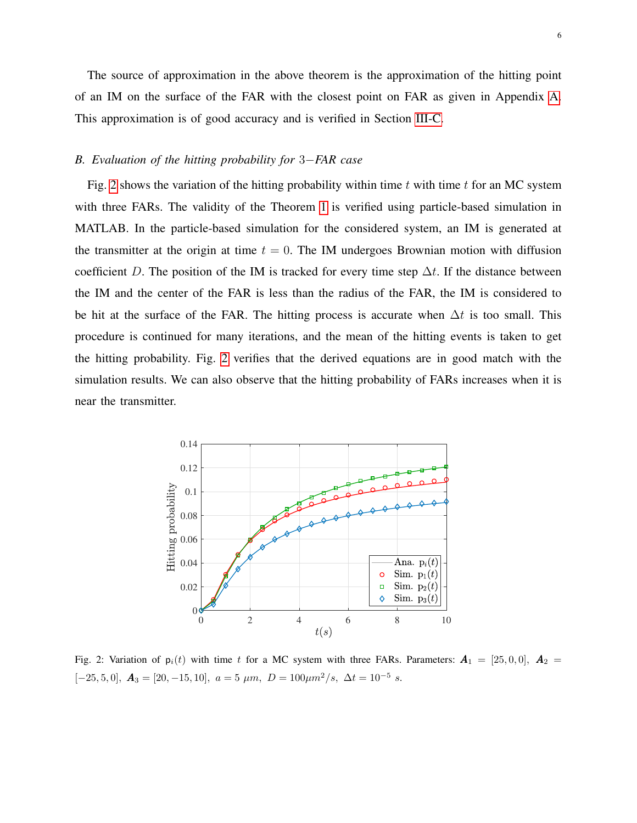The source of approximation in the above theorem is the approximation of the hitting point of an IM on the surface of the FAR with the closest point on FAR as given in Appendix [A.](#page-12-0) This approximation is of good accuracy and is verified in Section [III-C.](#page-6-0)

# *B. Evaluation of the hitting probability for* 3−*FAR case*

Fig. [2](#page-5-0) shows the variation of the hitting probability within time  $t$  with time  $t$  for an MC system with three FARs. The validity of the Theorem [1](#page-4-0) is verified using particle-based simulation in MATLAB. In the particle-based simulation for the considered system, an IM is generated at the transmitter at the origin at time  $t = 0$ . The IM undergoes Brownian motion with diffusion coefficient D. The position of the IM is tracked for every time step  $\Delta t$ . If the distance between the IM and the center of the FAR is less than the radius of the FAR, the IM is considered to be hit at the surface of the FAR. The hitting process is accurate when  $\Delta t$  is too small. This procedure is continued for many iterations, and the mean of the hitting events is taken to get the hitting probability. Fig. [2](#page-5-0) verifies that the derived equations are in good match with the simulation results. We can also observe that the hitting probability of FARs increases when it is near the transmitter.

<span id="page-5-0"></span>

Fig. 2: Variation of  $p_i(t)$  with time t for a MC system with three FARs. Parameters:  $A_1 = [25, 0, 0], A_2 =$  $[-25, 5, 0], \mathbf{A}_3 = [20, -15, 10], a = 5 \mu m, D = 100 \mu m^2/s, \Delta t = 10^{-5} s.$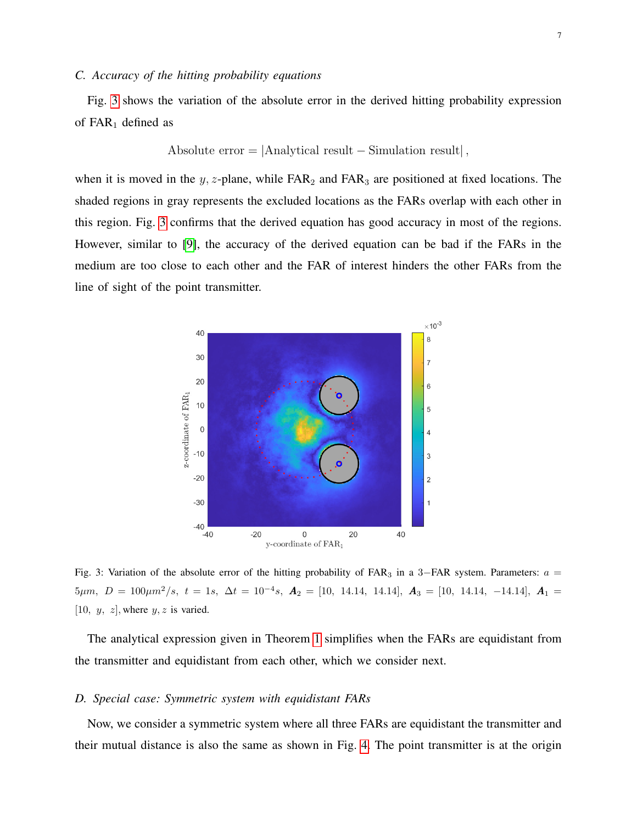## <span id="page-6-0"></span>*C. Accuracy of the hitting probability equations*

Fig. [3](#page-6-1) shows the variation of the absolute error in the derived hitting probability expression of  $FAR_1$  defined as

Absolute error = 
$$
|Analytical result - Simulation result|
$$
,

when it is moved in the y, z-plane, while  $FAR_2$  and  $FAR_3$  are positioned at fixed locations. The shaded regions in gray represents the excluded locations as the FARs overlap with each other in this region. Fig. [3](#page-6-1) confirms that the derived equation has good accuracy in most of the regions. However, similar to [\[9\]](#page-14-1), the accuracy of the derived equation can be bad if the FARs in the medium are too close to each other and the FAR of interest hinders the other FARs from the line of sight of the point transmitter.

<span id="page-6-1"></span>

Fig. 3: Variation of the absolute error of the hitting probability of FAR<sub>3</sub> in a 3–FAR system. Parameters:  $a =$  $5\mu m, \ D = 100\mu m^2/s, \ t = 1s, \ \Delta t = 10^{-4}s, \ \boldsymbol{A}_2 = [10, 14.14, 14.14], \ \boldsymbol{A}_3 = [10, 14.14, -14.14], \ \boldsymbol{A}_1 =$ [10,  $y, z$ ], where  $y, z$  is varied.

The analytical expression given in Theorem [1](#page-4-0) simplifies when the FARs are equidistant from the transmitter and equidistant from each other, which we consider next.

### *D. Special case: Symmetric system with equidistant FARs*

Now, we consider a symmetric system where all three FARs are equidistant the transmitter and their mutual distance is also the same as shown in Fig. [4.](#page-7-0) The point transmitter is at the origin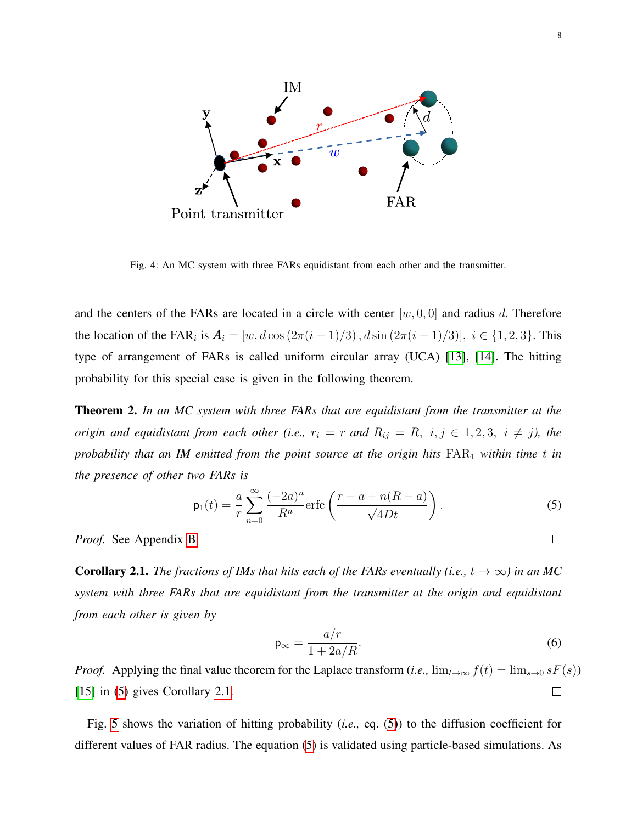<span id="page-7-0"></span>

Fig. 4: An MC system with three FARs equidistant from each other and the transmitter.

and the centers of the FARs are located in a circle with center  $[w, 0, 0]$  and radius d. Therefore the location of the FAR<sub>i</sub> is  $A_i = [w, d\cos(2\pi(i-1)/3), d\sin(2\pi(i-1)/3)], i \in \{1, 2, 3\}$ . This type of arrangement of FARs is called uniform circular array (UCA) [\[13\]](#page-14-5), [\[14\]](#page-14-6). The hitting probability for this special case is given in the following theorem.

<span id="page-7-3"></span>Theorem 2. *In an MC system with three FARs that are equidistant from the transmitter at the origin and equidistant from each other (i.e.,*  $r_i = r$  *and*  $R_{ij} = R$ ,  $i, j \in 1, 2, 3$ ,  $i \neq j$ ), the *probability that an IM emitted from the point source at the origin hits*  $FAR_1$  *within time t in the presence of other two FARs is*

$$
\mathsf{p}_1(t) = \frac{a}{r} \sum_{n=0}^{\infty} \frac{(-2a)^n}{R^n} \text{erfc}\left(\frac{r-a+n(R-a)}{\sqrt{4Dt}}\right). \tag{5}
$$

*Proof.* See Appendix [B.](#page-13-6)

<span id="page-7-2"></span>**Corollary 2.1.** *The fractions of IMs that hits each of the FARs eventually (i.e.,*  $t \to \infty$ *) in an MC system with three FARs that are equidistant from the transmitter at the origin and equidistant from each other is given by*

$$
\mathsf{p}_{\infty} = \frac{a/r}{1 + 2a/R}.\tag{6}
$$

*Proof.* Applying the final value theorem for the Laplace transform (*i.e.*,  $\lim_{t\to\infty} f(t) = \lim_{s\to 0} sF(s)$ )  $\Box$ [\[15\]](#page-14-7) in [\(5\)](#page-7-1) gives Corollary [2.1.](#page-7-2)

Fig. [5](#page-8-0) shows the variation of hitting probability (*i.e.,* eq. [\(5\)](#page-7-1)) to the diffusion coefficient for different values of FAR radius. The equation [\(5\)](#page-7-1) is validated using particle-based simulations. As

<span id="page-7-1"></span> $\Box$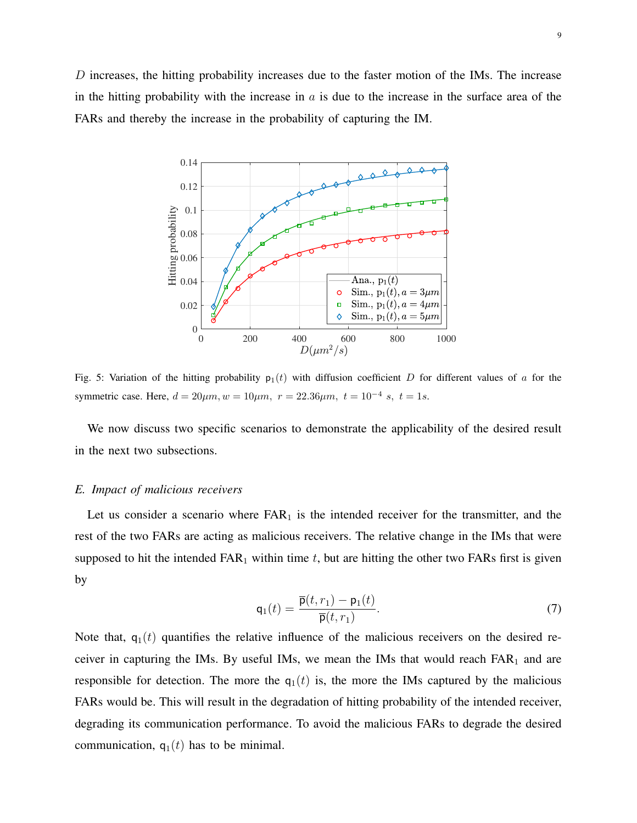<span id="page-8-0"></span>D increases, the hitting probability increases due to the faster motion of the IMs. The increase in the hitting probability with the increase in  $a$  is due to the increase in the surface area of the FARs and thereby the increase in the probability of capturing the IM.



Fig. 5: Variation of the hitting probability  $p_1(t)$  with diffusion coefficient D for different values of a for the symmetric case. Here,  $d = 20 \mu m$ ,  $w = 10 \mu m$ ,  $r = 22.36 \mu m$ ,  $t = 10^{-4} s$ ,  $t = 1s$ .

We now discuss two specific scenarios to demonstrate the applicability of the desired result in the next two subsections.

## *E. Impact of malicious receivers*

Let us consider a scenario where  $FAR_1$  is the intended receiver for the transmitter, and the rest of the two FARs are acting as malicious receivers. The relative change in the IMs that were supposed to hit the intended  $FAR_1$  within time t, but are hitting the other two  $FARs$  first is given by

$$
\mathsf{q}_1(t) = \frac{\overline{\mathsf{p}}(t, r_1) - \mathsf{p}_1(t)}{\overline{\mathsf{p}}(t, r_1)}.
$$
\n
$$
(7)
$$

Note that,  $q_1(t)$  quantifies the relative influence of the malicious receivers on the desired receiver in capturing the IMs. By useful IMs, we mean the IMs that would reach  $FAR<sub>1</sub>$  and are responsible for detection. The more the  $q_1(t)$  is, the more the IMs captured by the malicious FARs would be. This will result in the degradation of hitting probability of the intended receiver, degrading its communication performance. To avoid the malicious FARs to degrade the desired communication,  $q_1(t)$  has to be minimal.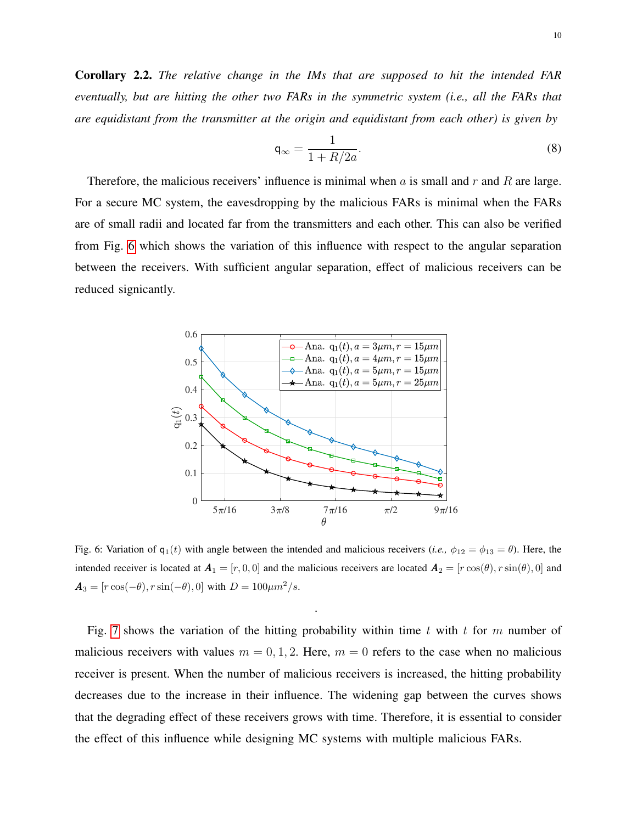Corollary 2.2. *The relative change in the IMs that are supposed to hit the intended FAR eventually, but are hitting the other two FARs in the symmetric system (i.e., all the FARs that are equidistant from the transmitter at the origin and equidistant from each other) is given by*

$$
\mathsf{q}_{\infty} = \frac{1}{1 + R/2a}.\tag{8}
$$

Therefore, the malicious receivers' influence is minimal when  $\alpha$  is small and  $r$  and  $R$  are large. For a secure MC system, the eavesdropping by the malicious FARs is minimal when the FARs are of small radii and located far from the transmitters and each other. This can also be verified from Fig. [6](#page-9-0) which shows the variation of this influence with respect to the angular separation between the receivers. With sufficient angular separation, effect of malicious receivers can be reduced signicantly.

<span id="page-9-0"></span>

Fig. 6: Variation of  $q_1(t)$  with angle between the intended and malicious receivers (*i.e.*,  $\phi_{12} = \phi_{13} = \theta$ ). Here, the intended receiver is located at  $A_1 = [r, 0, 0]$  and the malicious receivers are located  $A_2 = [r \cos(\theta), r \sin(\theta), 0]$  and  $A_3 = [r \cos(-\theta), r \sin(-\theta), 0]$  with  $D = 100 \mu m^2/s$ .

.

Fig. [7](#page-10-0) shows the variation of the hitting probability within time t with t for m number of malicious receivers with values  $m = 0, 1, 2$ . Here,  $m = 0$  refers to the case when no malicious receiver is present. When the number of malicious receivers is increased, the hitting probability decreases due to the increase in their influence. The widening gap between the curves shows that the degrading effect of these receivers grows with time. Therefore, it is essential to consider the effect of this influence while designing MC systems with multiple malicious FARs.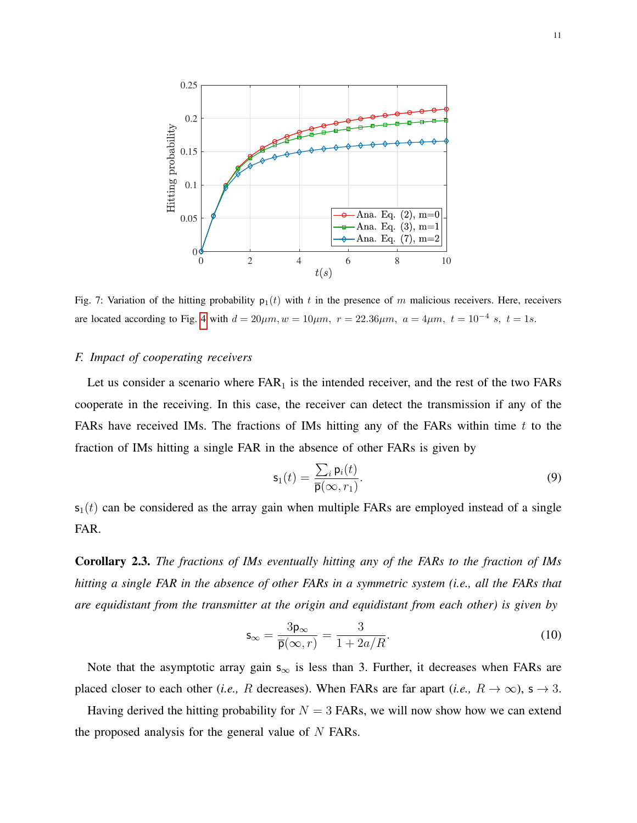<span id="page-10-0"></span>

Fig. 7: Variation of the hitting probability  $p_1(t)$  with t in the presence of m malicious receivers. Here, receivers are located according to Fig. [4](#page-7-0) with  $d = 20 \mu m$ ,  $w = 10 \mu m$ ,  $r = 22.36 \mu m$ ,  $a = 4 \mu m$ ,  $t = 10^{-4} s$ ,  $t = 1s$ .

## *F. Impact of cooperating receivers*

Let us consider a scenario where  $FAR<sub>1</sub>$  is the intended receiver, and the rest of the two  $FAR<sub>S</sub>$ cooperate in the receiving. In this case, the receiver can detect the transmission if any of the FARs have received IMs. The fractions of IMs hitting any of the FARs within time  $t$  to the fraction of IMs hitting a single FAR in the absence of other FARs is given by

$$
\mathbf{s}_1(t) = \frac{\sum_i \mathbf{p}_i(t)}{\overline{\mathbf{p}}(\infty, r_1)}.
$$
\n(9)

 $s_1(t)$  can be considered as the array gain when multiple FARs are employed instead of a single FAR.

Corollary 2.3. *The fractions of IMs eventually hitting any of the FARs to the fraction of IMs hitting a single FAR in the absence of other FARs in a symmetric system (i.e., all the FARs that are equidistant from the transmitter at the origin and equidistant from each other) is given by*

$$
\mathsf{s}_{\infty} = \frac{3\mathsf{p}_{\infty}}{\overline{\mathsf{p}(\infty, r)}} = \frac{3}{1 + 2a/R}.\tag{10}
$$

Note that the asymptotic array gain  $s_{\infty}$  is less than 3. Further, it decreases when FARs are placed closer to each other (*i.e.*, R decreases). When FARs are far apart (*i.e.*,  $R \to \infty$ ),  $s \to 3$ .

Having derived the hitting probability for  $N = 3$  FARs, we will now show how we can extend the proposed analysis for the general value of  $N$  FARs.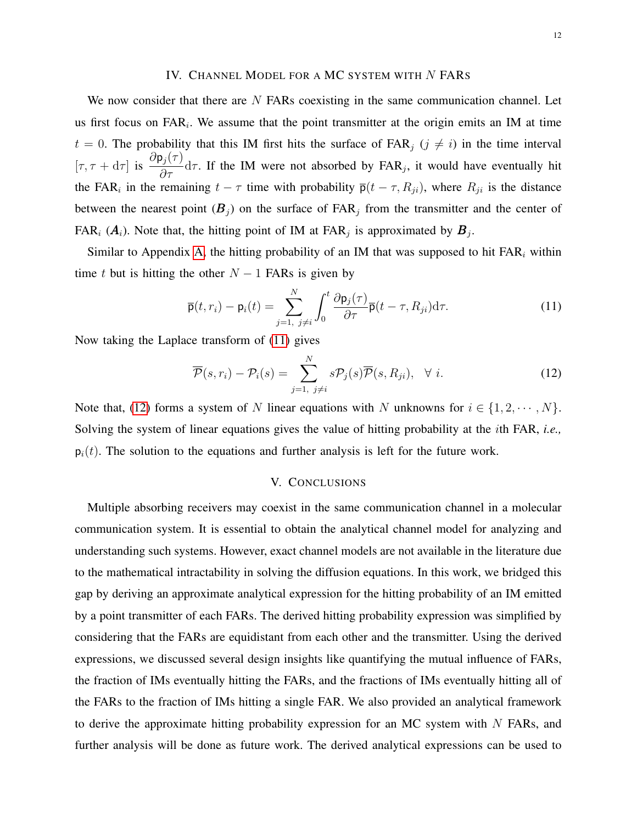## IV. CHANNEL MODEL FOR A MC SYSTEM WITH N FARS

We now consider that there are  $N$  FARs coexisting in the same communication channel. Let us first focus on  $FAR_i$ . We assume that the point transmitter at the origin emits an IM at time  $t = 0$ . The probability that this IM first hits the surface of FAR<sub>j</sub>  $(j \neq i)$  in the time interval  $[\tau, \tau + d\tau]$  is  $\frac{\partial p_j(\tau)}{\partial \tau} d\tau$ . If the IM were not absorbed by FAR<sub>j</sub>, it would have eventually hit the FAR<sub>i</sub> in the remaining  $t - \tau$  time with probability  $\bar{p}(t - \tau, R_{ji})$ , where  $R_{ji}$  is the distance between the nearest point  $(B_j)$  on the surface of  $FAR_j$  from the transmitter and the center of FAR<sub>i</sub>  $(A_i)$ . Note that, the hitting point of IM at FAR<sub>j</sub> is approximated by  $B_j$ .

Similar to Appendix [A,](#page-12-0) the hitting probability of an IM that was supposed to hit  $FAR_i$  within time t but is hitting the other  $N - 1$  FARs is given by

$$
\overline{\mathbf{p}}(t,r_i) - \mathbf{p}_i(t) = \sum_{j=1, \ j \neq i}^{N} \int_0^t \frac{\partial \mathbf{p}_j(\tau)}{\partial \tau} \overline{\mathbf{p}}(t-\tau, R_{ji}) d\tau.
$$
 (11)

Now taking the Laplace transform of [\(11\)](#page-11-0) gives

$$
\overline{\mathcal{P}}(s,r_i) - \mathcal{P}_i(s) = \sum_{j=1, j \neq i}^{N} s \mathcal{P}_j(s) \overline{\mathcal{P}}(s, R_{ji}), \quad \forall i.
$$
 (12)

Note that, [\(12\)](#page-11-1) forms a system of N linear equations with N unknowns for  $i \in \{1, 2, \dots, N\}$ . Solving the system of linear equations gives the value of hitting probability at the ith FAR, *i.e.,*  $p_i(t)$ . The solution to the equations and further analysis is left for the future work.

# <span id="page-11-1"></span><span id="page-11-0"></span>V. CONCLUSIONS

Multiple absorbing receivers may coexist in the same communication channel in a molecular communication system. It is essential to obtain the analytical channel model for analyzing and understanding such systems. However, exact channel models are not available in the literature due to the mathematical intractability in solving the diffusion equations. In this work, we bridged this gap by deriving an approximate analytical expression for the hitting probability of an IM emitted by a point transmitter of each FARs. The derived hitting probability expression was simplified by considering that the FARs are equidistant from each other and the transmitter. Using the derived expressions, we discussed several design insights like quantifying the mutual influence of FARs, the fraction of IMs eventually hitting the FARs, and the fractions of IMs eventually hitting all of the FARs to the fraction of IMs hitting a single FAR. We also provided an analytical framework to derive the approximate hitting probability expression for an MC system with N FARs, and further analysis will be done as future work. The derived analytical expressions can be used to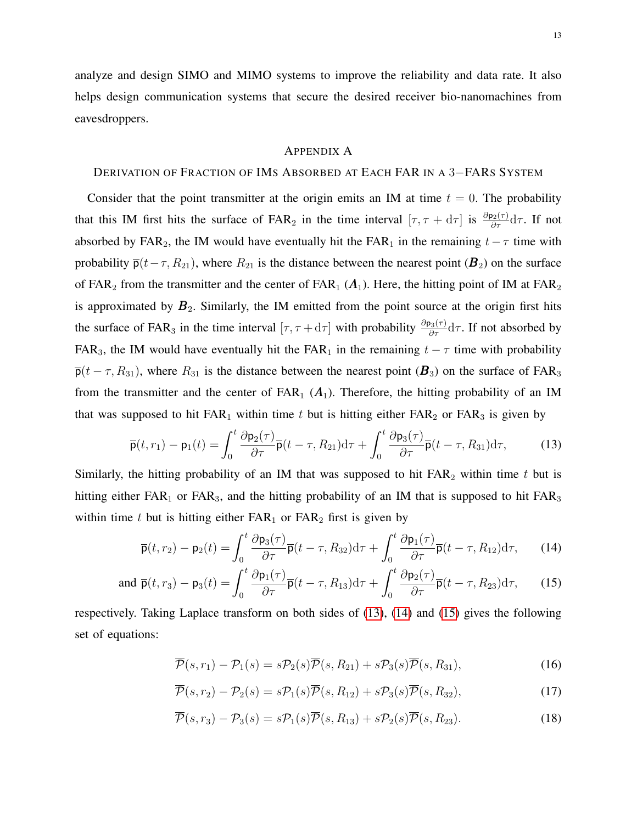analyze and design SIMO and MIMO systems to improve the reliability and data rate. It also helps design communication systems that secure the desired receiver bio-nanomachines from eavesdroppers.

### <span id="page-12-1"></span><span id="page-12-0"></span>APPENDIX A

## DERIVATION OF FRACTION OF IMS ABSORBED AT EACH FAR IN A 3−FARS SYSTEM

Consider that the point transmitter at the origin emits an IM at time  $t = 0$ . The probability that this IM first hits the surface of FAR<sub>2</sub> in the time interval  $[\tau, \tau + d\tau]$  is  $\frac{\partial p_2(\tau)}{\partial \tau} d\tau$ . If not absorbed by FAR<sub>2</sub>, the IM would have eventually hit the FAR<sub>1</sub> in the remaining  $t - \tau$  time with probability  $\bar{p}(t-\tau, R_{21})$ , where  $R_{21}$  is the distance between the nearest point ( $\mathbf{B}_2$ ) on the surface of FAR<sub>2</sub> from the transmitter and the center of FAR<sub>1</sub> ( $A_1$ ). Here, the hitting point of IM at FAR<sub>2</sub> is approximated by  $B_2$ . Similarly, the IM emitted from the point source at the origin first hits the surface of FAR<sub>3</sub> in the time interval  $[\tau, \tau + d\tau]$  with probability  $\frac{\partial p_3(\tau)}{\partial \tau} d\tau$ . If not absorbed by FAR<sub>3</sub>, the IM would have eventually hit the FAR<sub>1</sub> in the remaining  $t - \tau$  time with probability  $\bar{\mathsf{p}}(t-\tau, R_{31})$ , where  $R_{31}$  is the distance between the nearest point  $(\mathbf{B}_3)$  on the surface of FAR<sub>3</sub> from the transmitter and the center of  $FAR_1$  ( $A_1$ ). Therefore, the hitting probability of an IM that was supposed to hit  $FAR_1$  within time t but is hitting either  $FAR_2$  or  $FAR_3$  is given by

$$
\overline{\mathbf{p}}(t,r_1) - \mathbf{p}_1(t) = \int_0^t \frac{\partial \mathbf{p}_2(\tau)}{\partial \tau} \overline{\mathbf{p}}(t-\tau, R_{21}) d\tau + \int_0^t \frac{\partial \mathbf{p}_3(\tau)}{\partial \tau} \overline{\mathbf{p}}(t-\tau, R_{31}) d\tau, \tag{13}
$$

Similarly, the hitting probability of an IM that was supposed to hit  $FAR_2$  within time t but is hitting either  $FAR_1$  or  $FAR_3$ , and the hitting probability of an IM that is supposed to hit  $FAR_3$ within time t but is hitting either  $FAR_1$  or  $FAR_2$  first is given by

$$
\overline{\mathbf{p}}(t,r_2) - \mathbf{p}_2(t) = \int_0^t \frac{\partial \mathbf{p}_3(\tau)}{\partial \tau} \overline{\mathbf{p}}(t-\tau, R_{32}) d\tau + \int_0^t \frac{\partial \mathbf{p}_1(\tau)}{\partial \tau} \overline{\mathbf{p}}(t-\tau, R_{12}) d\tau, \qquad (14)
$$

and 
$$
\overline{\mathbf{p}}(t, r_3) - \mathbf{p}_3(t) = \int_0^t \frac{\partial \mathbf{p}_1(\tau)}{\partial \tau} \overline{\mathbf{p}}(t - \tau, R_{13}) d\tau + \int_0^t \frac{\partial \mathbf{p}_2(\tau)}{\partial \tau} \overline{\mathbf{p}}(t - \tau, R_{23}) d\tau,
$$
 (15)

respectively. Taking Laplace transform on both sides of [\(13\)](#page-12-1), [\(14\)](#page-12-2) and [\(15\)](#page-12-3) gives the following set of equations:

<span id="page-12-3"></span><span id="page-12-2"></span>
$$
\overline{\mathcal{P}}(s,r_1) - \mathcal{P}_1(s) = s\mathcal{P}_2(s)\overline{\mathcal{P}}(s,R_{21}) + s\mathcal{P}_3(s)\overline{\mathcal{P}}(s,R_{31}),
$$
\n(16)

<span id="page-12-6"></span><span id="page-12-5"></span><span id="page-12-4"></span>
$$
\overline{\mathcal{P}}(s,r_2) - \mathcal{P}_2(s) = s\mathcal{P}_1(s)\overline{\mathcal{P}}(s,R_{12}) + s\mathcal{P}_3(s)\overline{\mathcal{P}}(s,R_{32}),\tag{17}
$$

$$
\overline{\mathcal{P}}(s,r_3) - \mathcal{P}_3(s) = s\mathcal{P}_1(s)\overline{\mathcal{P}}(s,R_{13}) + s\mathcal{P}_2(s)\overline{\mathcal{P}}(s,R_{23}).
$$
\n(18)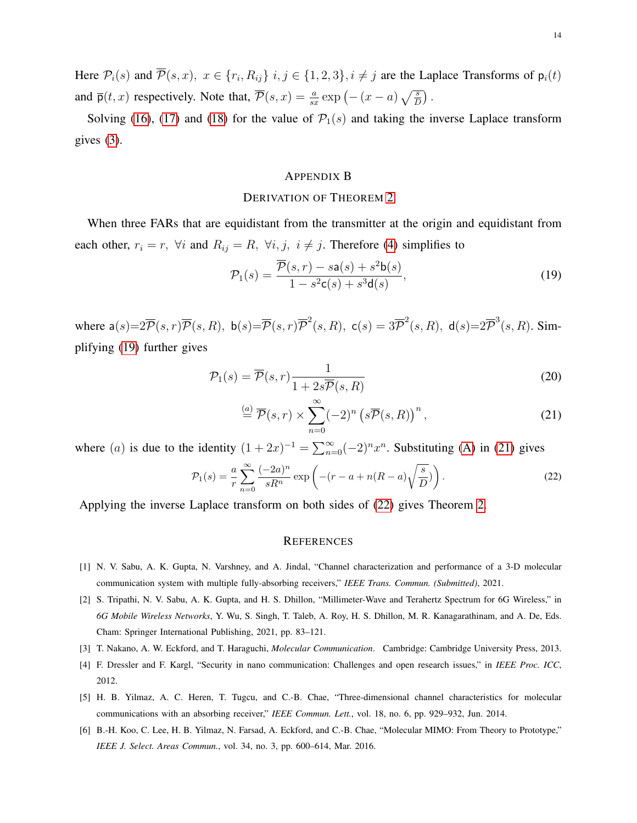Here  $\mathcal{P}_i(s)$  and  $\mathcal{P}(s, x)$ ,  $x \in \{r_i, R_{ij}\}\$   $i, j \in \{1, 2, 3\}, i \neq j$  are the Laplace Transforms of  $p_i(t)$ and  $\bar{\mathsf{p}}(t,x)$  respectively. Note that,  $\bar{\mathcal{P}}(s,x) = \frac{a}{sx} \exp\left(-\left(x-a\right)\sqrt{\frac{s}{D}}\right)$ .

Solving [\(16\)](#page-12-4), [\(17\)](#page-12-5) and [\(18\)](#page-12-6) for the value of  $\mathcal{P}_1(s)$  and taking the inverse Laplace transform gives [\(3\)](#page-4-1).

#### <span id="page-13-7"></span><span id="page-13-6"></span>APPENDIX B

#### DERIVATION OF THEOREM [2](#page-7-3)

When three FARs that are equidistant from the transmitter at the origin and equidistant from each other,  $r_i = r$ ,  $\forall i$  and  $R_{ij} = R$ ,  $\forall i, j, i \neq j$ . Therefore [\(4\)](#page-4-2) simplifies to

$$
\mathcal{P}_1(s) = \frac{\overline{\mathcal{P}}(s, r) - s\mathsf{a}(s) + s^2 \mathsf{b}(s)}{1 - s^2 \mathsf{c}(s) + s^3 \mathsf{d}(s)},\tag{19}
$$

where  $a(s)=2\overline{\mathcal{P}}(s,r)\overline{\mathcal{P}}(s,R)$ ,  $b(s)=\overline{\mathcal{P}}(s,r)\overline{\mathcal{P}}^2(s,R)$ ,  $c(s)=3\overline{\mathcal{P}}^2(s,R)$ ,  $d(s)=2\overline{\mathcal{P}}^3(s,R)$ . Simplifying [\(19\)](#page-13-7) further gives

$$
\mathcal{P}_1(s) = \overline{\mathcal{P}}(s, r) \frac{1}{1 + 2s\overline{\mathcal{P}}(s, R)}
$$
\n(20)

$$
\stackrel{(a)}{=} \overline{\mathcal{P}}(s,r) \times \sum_{n=0}^{\infty} (-2)^n \left( s\overline{\mathcal{P}}(s,R) \right)^n, \tag{21}
$$

where (a) is due to the identity  $(1 + 2x)^{-1} = \sum_{n=0}^{\infty} (-2)^n x^n$ . Substituting [\(A\)](#page-12-6) in [\(21\)](#page-13-8) gives

$$
\mathcal{P}_1(s) = \frac{a}{r} \sum_{n=0}^{\infty} \frac{(-2a)^n}{sR^n} \exp\left(-(r-a+n(R-a)\sqrt{\frac{s}{D}})\right).
$$
 (22)

Applying the inverse Laplace transform on both sides of [\(22\)](#page-13-9) gives Theorem [2.](#page-7-3)

#### <span id="page-13-9"></span><span id="page-13-8"></span>**REFERENCES**

- <span id="page-13-1"></span>[1] N. V. Sabu, A. K. Gupta, N. Varshney, and A. Jindal, "Channel characterization and performance of a 3-D molecular communication system with multiple fully-absorbing receivers," *IEEE Trans. Commun. (Submitted)*, 2021.
- <span id="page-13-0"></span>[2] S. Tripathi, N. V. Sabu, A. K. Gupta, and H. S. Dhillon, "Millimeter-Wave and Terahertz Spectrum for 6G Wireless," in *6G Mobile Wireless Networks*, Y. Wu, S. Singh, T. Taleb, A. Roy, H. S. Dhillon, M. R. Kanagarathinam, and A. De, Eds. Cham: Springer International Publishing, 2021, pp. 83–121.
- <span id="page-13-2"></span>[3] T. Nakano, A. W. Eckford, and T. Haraguchi, *Molecular Communication*. Cambridge: Cambridge University Press, 2013.
- <span id="page-13-3"></span>[4] F. Dressler and F. Kargl, "Security in nano communication: Challenges and open research issues," in *IEEE Proc. ICC*, 2012.
- <span id="page-13-4"></span>[5] H. B. Yilmaz, A. C. Heren, T. Tugcu, and C.-B. Chae, "Three-dimensional channel characteristics for molecular communications with an absorbing receiver," *IEEE Commun. Lett.*, vol. 18, no. 6, pp. 929–932, Jun. 2014.
- <span id="page-13-5"></span>[6] B.-H. Koo, C. Lee, H. B. Yilmaz, N. Farsad, A. Eckford, and C.-B. Chae, "Molecular MIMO: From Theory to Prototype," *IEEE J. Select. Areas Commun.*, vol. 34, no. 3, pp. 600–614, Mar. 2016.